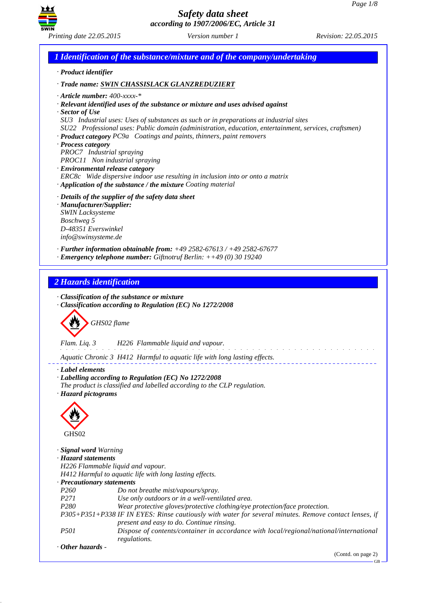

*1 Identification of the substance/mixture and of the company/undertaking · Product identifier · Trade name: SWIN CHASSISLACK GLANZREDUZIERT · Article number: 400-xxxx-\* · Relevant identified uses of the substance or mixture and uses advised against · Sector of Use SU3 Industrial uses: Uses of substances as such or in preparations at industrial sites SU22 Professional uses: Public domain (administration, education, entertainment, services, craftsmen) · Product category PC9a Coatings and paints, thinners, paint removers · Process category PROC7 Industrial spraying PROC11 Non industrial spraying · Environmental release category ERC8c Wide dispersive indoor use resulting in inclusion into or onto a matrix · Application of the substance / the mixture Coating material · Details of the supplier of the safety data sheet · Manufacturer/Supplier: SWIN Lacksysteme Boschweg 5 D-48351 Everswinkel info@swinsysteme.de · Further information obtainable from: +49 2582-67613 / +49 2582-67677 · Emergency telephone number: Giftnotruf Berlin: ++49 (0) 30 19240 2 Hazards identification · Classification of the substance or mixture · Classification according to Regulation (EC) No 1272/2008* d~*GHS02 flame Flam. Liq. 3 H226 Flammable liquid and vapour.* and the component of the components *Aquatic Chronic 3 H412 Harmful to aquatic life with long lasting effects. · Label elements · Labelling according to Regulation (EC) No 1272/2008 The product is classified and labelled according to the CLP regulation. · Hazard pictograms* < GHS02 *· Signal word Warning · Hazard statements H226 Flammable liquid and vapour. H412 Harmful to aquatic life with long lasting effects. · Precautionary statements P260 Do not breathe mist/vapours/spray. P271 Use only outdoors or in a well-ventilated area. P280 Wear protective gloves/protective clothing/eye protection/face protection. P305+P351+P338 IF IN EYES: Rinse cautiously with water for several minutes. Remove contact lenses, if present and easy to do. Continue rinsing. P501 Dispose of contents/container in accordance with local/regional/national/international regulations. · Other hazards -* 

(Contd. on page 2)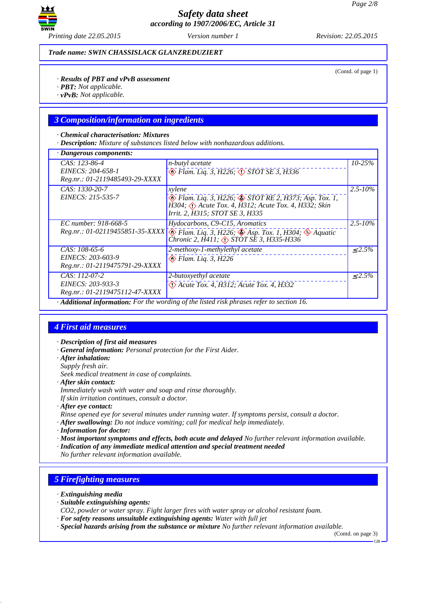

*Trade name: SWIN CHASSISLACK GLANZREDUZIERT*

(Contd. of page 1)

#### *· Results of PBT and vPvB assessment*

- *· PBT: Not applicable.*
- *· vPvB: Not applicable.*

#### *3 Composition/information on ingredients*

#### *· Chemical characterisation: Mixtures*

*· Description: Mixture of substances listed below with nonhazardous additions.*

| · Dangerous components:                                                |                                                                                                                                                                                             |              |
|------------------------------------------------------------------------|---------------------------------------------------------------------------------------------------------------------------------------------------------------------------------------------|--------------|
| CAS: 123-86-4<br>EINECS: 204-658-1<br>Reg.nr.: 01-2119485493-29-XXXX   | <i>n-butyl acetate</i><br>$\circledast$ Flam. Liq. 3, H226; $\circledast$ STOT SE 3, H336                                                                                                   | $10 - 25%$   |
| CAS: 1330-20-7<br>EINECS: 215-535-7                                    | xylene<br>$\circledast$ Flam. Liq. 3, H226; $\circledast$ STOT RE 2, H373; Asp. Tox. 1,<br>H304; $\Diamond$ Acute Tox. 4, H312; Acute Tox. 4, H332; Skin<br>Irrit. 2, H315; STOT SE 3, H335 | $2.5 - 10\%$ |
| EC number: 918-668-5<br>Reg.nr.: 01-02119455851-35-XXXX                | Hydocarbons, C9-C15, Aromatics<br>$\otimes$ Flam. Liq. 3, H226; $\otimes$ Asp. Tox. 1, H304; $\otimes$ Aquatic<br>Chronic 2, H411; <> STOT SE 3, H335-H336                                  | $2.5 - 10\%$ |
| $CAS: 108-65-6$<br>EINECS: 203-603-9<br>Reg.nr.: 01-2119475791-29-XXXX | 2-methoxy-1-methylethyl acetate<br>$\otimes$ Flam. Liq. 3, H226                                                                                                                             | $< 2.5\%$    |
| CAS: 112-07-2<br>EINECS: 203-933-3<br>Reg.nr.: 01-2119475112-47-XXXX   | 2-butoxyethyl acetate<br>$\Diamond$ Acute Tox. 4, H312; Acute Tox. 4, H332                                                                                                                  | $\leq 2.5\%$ |
|                                                                        | Additional information: For the wording of the listed risk phrases refer to section 16.                                                                                                     |              |

### *4 First aid measures*

- *· Description of first aid measures*
- *· General information: Personal protection for the First Aider.*
- *· After inhalation:*
- *Supply fresh air.*
- *Seek medical treatment in case of complaints.*
- *· After skin contact:*
- *Immediately wash with water and soap and rinse thoroughly.*
- *If skin irritation continues, consult a doctor.*
- *· After eye contact:*
- *Rinse opened eye for several minutes under running water. If symptoms persist, consult a doctor.*
- *· After swallowing: Do not induce vomiting; call for medical help immediately.*
- *· Information for doctor:*
- *· Most important symptoms and effects, both acute and delayed No further relevant information available.*
- *· Indication of any immediate medical attention and special treatment needed*
- *No further relevant information available.*

# *5 Firefighting measures*

- *· Extinguishing media*
- *· Suitable extinguishing agents:*
- *CO2, powder or water spray. Fight larger fires with water spray or alcohol resistant foam.*
- *· For safety reasons unsuitable extinguishing agents: Water with full jet*
- *· Special hazards arising from the substance or mixture No further relevant information available.*

(Contd. on page 3)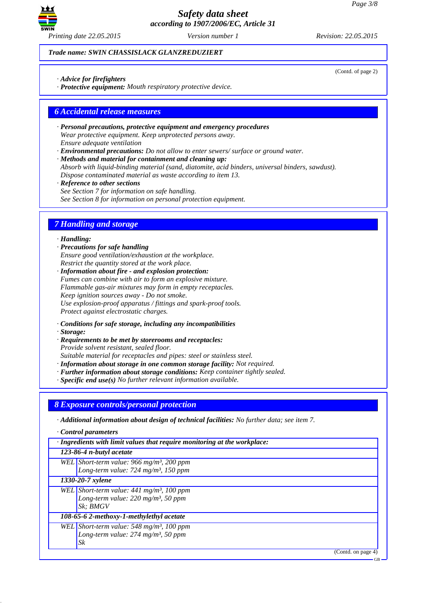

*Trade name: SWIN CHASSISLACK GLANZREDUZIERT*

*· Advice for firefighters*

*· Protective equipment: Mouth respiratory protective device.*

### *6 Accidental release measures*

- *· Personal precautions, protective equipment and emergency procedures Wear protective equipment. Keep unprotected persons away. Ensure adequate ventilation*
- *· Environmental precautions: Do not allow to enter sewers/ surface or ground water.*

*· Methods and material for containment and cleaning up: Absorb with liquid-binding material (sand, diatomite, acid binders, universal binders, sawdust). Dispose contaminated material as waste according to item 13.*

*· Reference to other sections See Section 7 for information on safe handling.*

*See Section 8 for information on personal protection equipment.*

# *7 Handling and storage*

#### *· Handling:*

- *· Precautions for safe handling Ensure good ventilation/exhaustion at the workplace. Restrict the quantity stored at the work place.*
- *· Information about fire and explosion protection: Fumes can combine with air to form an explosive mixture. Flammable gas-air mixtures may form in empty receptacles. Keep ignition sources away - Do not smoke. Use explosion-proof apparatus / fittings and spark-proof tools. Protect against electrostatic charges.*
- *· Conditions for safe storage, including any incompatibilities*
- *· Storage:*
- *· Requirements to be met by storerooms and receptacles: Provide solvent resistant, sealed floor. Suitable material for receptacles and pipes: steel or stainless steel.*
- *· Information about storage in one common storage facility: Not required.*
- *· Further information about storage conditions: Keep container tightly sealed.*
- *· Specific end use(s) No further relevant information available.*

#### *8 Exposure controls/personal protection*

*· Additional information about design of technical facilities: No further data; see item 7.*

*· Control parameters*

| · Ingredients with limit values that require monitoring at the workplace: |                                                         |  |
|---------------------------------------------------------------------------|---------------------------------------------------------|--|
|                                                                           | 123-86-4 n-butyl acetate                                |  |
|                                                                           | WEL Short-term value: 966 mg/m <sup>3</sup> , 200 ppm   |  |
|                                                                           | Long-term value: $724$ mg/m <sup>3</sup> , 150 ppm      |  |
|                                                                           | 1330-20-7 xylene                                        |  |
|                                                                           | WEL Short-term value: $441$ mg/m <sup>3</sup> , 100 ppm |  |
|                                                                           | Long-term value: $220$ mg/m <sup>3</sup> , 50 ppm       |  |
|                                                                           | Sk; BMGV                                                |  |
| 108-65-6 2-methoxy-1-methylethyl acetate                                  |                                                         |  |
|                                                                           | WEL Short-term value: $548 \text{ mg/m}^3$ , 100 ppm    |  |
|                                                                           | Long-term value: $274$ mg/m <sup>3</sup> , 50 ppm       |  |
|                                                                           | Sk                                                      |  |

(Contd. on page 4)

GB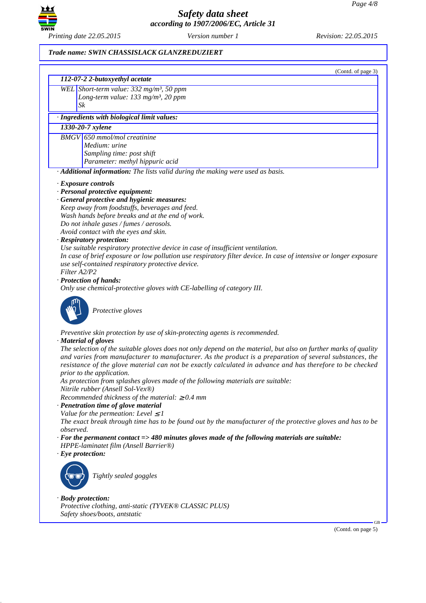

### *Trade name: SWIN CHASSISLACK GLANZREDUZIERT*

|                  | (Contd. of page 3)<br>112-07-2 2-butoxyethyl acetate                                                                                                                                                                                                                                                                                                                  |
|------------------|-----------------------------------------------------------------------------------------------------------------------------------------------------------------------------------------------------------------------------------------------------------------------------------------------------------------------------------------------------------------------|
|                  | WEL Short-term value: 332 mg/m <sup>3</sup> , 50 ppm                                                                                                                                                                                                                                                                                                                  |
|                  | Long-term value: $133$ mg/m <sup>3</sup> , 20 ppm                                                                                                                                                                                                                                                                                                                     |
| Sk               |                                                                                                                                                                                                                                                                                                                                                                       |
|                  | · Ingredients with biological limit values:                                                                                                                                                                                                                                                                                                                           |
|                  | 1330-20-7 xylene                                                                                                                                                                                                                                                                                                                                                      |
|                  | <b>BMGV</b> 650 mmol/mol creatinine                                                                                                                                                                                                                                                                                                                                   |
|                  | Medium: urine                                                                                                                                                                                                                                                                                                                                                         |
|                  | Sampling time: post shift                                                                                                                                                                                                                                                                                                                                             |
|                  | Parameter: methyl hippuric acid                                                                                                                                                                                                                                                                                                                                       |
|                  | · Additional information: The lists valid during the making were used as basis.                                                                                                                                                                                                                                                                                       |
|                  | $\cdot$ Exposure controls                                                                                                                                                                                                                                                                                                                                             |
|                  | · Personal protective equipment:                                                                                                                                                                                                                                                                                                                                      |
|                  | · General protective and hygienic measures:                                                                                                                                                                                                                                                                                                                           |
|                  | Keep away from foodstuffs, beverages and feed.                                                                                                                                                                                                                                                                                                                        |
|                  | Wash hands before breaks and at the end of work.                                                                                                                                                                                                                                                                                                                      |
|                  | Do not inhale gases / fumes / aerosols.                                                                                                                                                                                                                                                                                                                               |
|                  | Avoid contact with the eyes and skin.                                                                                                                                                                                                                                                                                                                                 |
|                  | · Respiratory protection:<br>Use suitable respiratory protective device in case of insufficient ventilation.                                                                                                                                                                                                                                                          |
|                  | In case of brief exposure or low pollution use respiratory filter device. In case of intensive or longer exposure                                                                                                                                                                                                                                                     |
|                  | use self-contained respiratory protective device.                                                                                                                                                                                                                                                                                                                     |
| Filter A2/P2     |                                                                                                                                                                                                                                                                                                                                                                       |
|                  | · Protection of hands:                                                                                                                                                                                                                                                                                                                                                |
|                  | Only use chemical-protective gloves with CE-labelling of category III.                                                                                                                                                                                                                                                                                                |
|                  | Protective gloves                                                                                                                                                                                                                                                                                                                                                     |
|                  | Preventive skin protection by use of skin-protecting agents is recommended.                                                                                                                                                                                                                                                                                           |
|                  | · Material of gloves                                                                                                                                                                                                                                                                                                                                                  |
|                  | The selection of the suitable gloves does not only depend on the material, but also on further marks of quality<br>and varies from manufacturer to manufacturer. As the product is a preparation of several substances, the<br>resistance of the glove material can not be exactly calculated in advance and has therefore to be checked<br>prior to the application. |
|                  | As protection from splashes gloves made of the following materials are suitable:<br>Nitrile rubber (Ansell Sol-Vex®)                                                                                                                                                                                                                                                  |
|                  | Recommended thickness of the material: $\geq 0.4$ mm                                                                                                                                                                                                                                                                                                                  |
|                  | · Penetration time of glove material                                                                                                                                                                                                                                                                                                                                  |
|                  | Value for the permeation: Level $\leq$ 1<br>The exact break through time has to be found out by the manufacturer of the protective gloves and has to be                                                                                                                                                                                                               |
| <i>observed.</i> |                                                                                                                                                                                                                                                                                                                                                                       |
|                  | $\cdot$ For the permanent contact => 480 minutes gloves made of the following materials are suitable:                                                                                                                                                                                                                                                                 |
|                  | HPPE-laminatet film (Ansell Barrier®)                                                                                                                                                                                                                                                                                                                                 |
|                  | $\cdot$ Eye protection:                                                                                                                                                                                                                                                                                                                                               |
|                  |                                                                                                                                                                                                                                                                                                                                                                       |
|                  | Tightly sealed goggles                                                                                                                                                                                                                                                                                                                                                |
|                  | · Body protection:                                                                                                                                                                                                                                                                                                                                                    |
|                  | Protective clothing, anti-static (TYVEK® CLASSIC PLUS)                                                                                                                                                                                                                                                                                                                |
|                  | Safety shoes/boots, antstatic                                                                                                                                                                                                                                                                                                                                         |

(Contd. on page 5)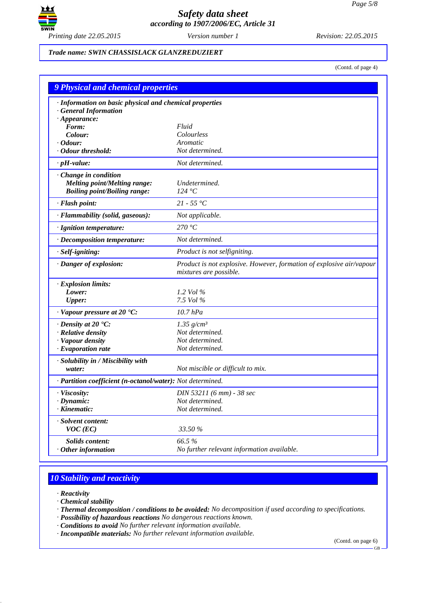

#### *Trade name: SWIN CHASSISLACK GLANZREDUZIERT*

(Contd. of page 4)

| <b>9 Physical and chemical properties</b>                  |                                                                                                |  |
|------------------------------------------------------------|------------------------------------------------------------------------------------------------|--|
| · Information on basic physical and chemical properties    |                                                                                                |  |
| <b>General Information</b>                                 |                                                                                                |  |
| $\cdot$ Appearance:                                        |                                                                                                |  |
| Form:<br>Colour:                                           | Fluid<br>Colourless                                                                            |  |
| $\cdot$ Odour:                                             | Aromatic                                                                                       |  |
| · Odour threshold:                                         | Not determined.                                                                                |  |
| $\cdot$ pH-value:                                          | Not determined.                                                                                |  |
| Change in condition                                        |                                                                                                |  |
| <b>Melting point/Melting range:</b>                        | Undetermined.                                                                                  |  |
| <b>Boiling point/Boiling range:</b>                        | 124 °C                                                                                         |  |
| · Flash point:                                             | $21 - 55 °C$                                                                                   |  |
| · Flammability (solid, gaseous):                           | Not applicable.                                                                                |  |
| · Ignition temperature:                                    | 270 °C                                                                                         |  |
| · Decomposition temperature:                               | Not determined.                                                                                |  |
| $·$ <i>Self-igniting</i> :                                 | Product is not selfigniting.                                                                   |  |
| · Danger of explosion:                                     | Product is not explosive. However, formation of explosive air/vapour<br>mixtures are possible. |  |
| · Explosion limits:                                        |                                                                                                |  |
| Lower:                                                     | 1.2 Vol $\%$                                                                                   |  |
| <b>Upper:</b>                                              | 7.5 Vol %                                                                                      |  |
| $\cdot$ Vapour pressure at 20 $\cdot$ C:                   | 10.7 hPa                                                                                       |  |
| $\cdot$ Density at 20 $\cdot$ C:                           | 1.35 $g/cm^3$                                                                                  |  |
| · Relative density                                         | Not determined.                                                                                |  |
| · Vapour density                                           | Not determined.                                                                                |  |
| $\cdot$ Evaporation rate                                   | Not determined.                                                                                |  |
| · Solubility in / Miscibility with                         |                                                                                                |  |
| water:                                                     | Not miscible or difficult to mix.                                                              |  |
| · Partition coefficient (n-octanol/water): Not determined. |                                                                                                |  |
| $\cdot$ Viscosity:                                         | DIN 53211 (6 mm) - 38 sec                                                                      |  |
| $\cdot$ Dynamic:                                           | Not determined.                                                                                |  |
| $\cdot$ Kinematic:                                         | Not determined.                                                                                |  |
| · Solvent content:<br>$VOC$ (EC)                           | 33.50 %                                                                                        |  |
| Solids content:                                            | 66.5%                                                                                          |  |
| $·$ Other information                                      | No further relevant information available.                                                     |  |

# *10 Stability and reactivity*

*· Reactivity*

*· Chemical stability*

*· Thermal decomposition / conditions to be avoided: No decomposition if used according to specifications.*

*· Possibility of hazardous reactions No dangerous reactions known.*

*· Conditions to avoid No further relevant information available.*

*· Incompatible materials: No further relevant information available.*

(Contd. on page 6)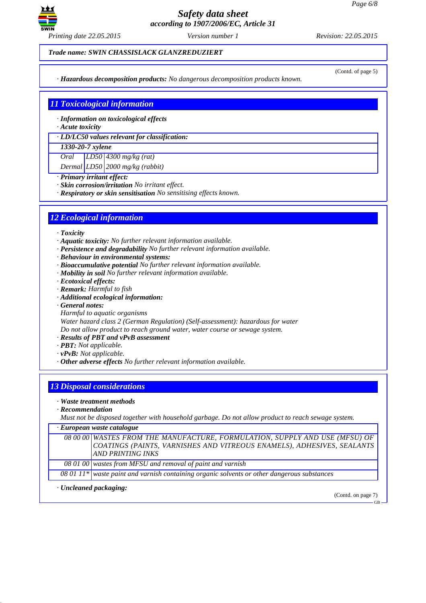

*Trade name: SWIN CHASSISLACK GLANZREDUZIERT*

*· Hazardous decomposition products: No dangerous decomposition products known.*

(Contd. of page 5)

# *11 Toxicological information*

*· Information on toxicological effects*

*· Acute toxicity*

*· LD/LC50 values relevant for classification:*

#### *1330-20-7 xylene*

*Oral LD50 4300 mg/kg (rat)*

*Dermal LD50 2000 mg/kg (rabbit)*

- *· Primary irritant effect:*
- *· Skin corrosion/irritation No irritant effect.*
- *· Respiratory or skin sensitisation No sensitising effects known.*

### *12 Ecological information*

*· Toxicity*

- *· Aquatic toxicity: No further relevant information available.*
- *· Persistence and degradability No further relevant information available.*
- *· Behaviour in environmental systems:*
- *· Bioaccumulative potential No further relevant information available.*
- *· Mobility in soil No further relevant information available.*
- *· Ecotoxical effects:*
- *· Remark: Harmful to fish*
- *· Additional ecological information:*
- *· General notes:*
- *Harmful to aquatic organisms*

*Water hazard class 2 (German Regulation) (Self-assessment): hazardous for water Do not allow product to reach ground water, water course or sewage system.*

- *· Results of PBT and vPvB assessment*
- *· PBT: Not applicable.*
- *· vPvB: Not applicable.*
- *· Other adverse effects No further relevant information available.*

## *13 Disposal considerations*

- *· Waste treatment methods*
- *· Recommendation*

*Must not be disposed together with household garbage. Do not allow product to reach sewage system.*

*· European waste catalogue*

|  | 08 00 00 WASTES FROM THE MANUFACTURE, FORMULATION, SUPPLY AND USE (MFSU) OF |
|--|-----------------------------------------------------------------------------|
|  | COATINGS (PAINTS, VARNISHES AND VITREOUS ENAMELS), ADHESIVES, SEALANTS      |
|  | AND PRINTING INKS                                                           |
|  |                                                                             |

*08 01 00 wastes from MFSU and removal of paint and varnish*

*08 01 11\* waste paint and varnish containing organic solvents or other dangerous substances*

*· Uncleaned packaging:*

(Contd. on page 7)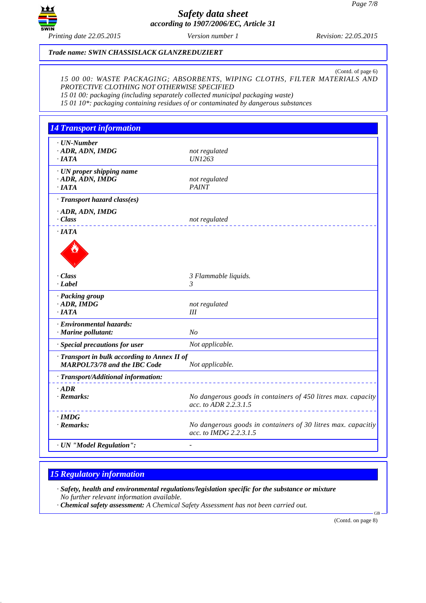

*Trade name: SWIN CHASSISLACK GLANZREDUZIERT*

(Contd. of page 6) *15 00 00: WASTE PACKAGING; ABSORBENTS, WIPING CLOTHS, FILTER MATERIALS AND PROTECTIVE CLOTHING NOT OTHERWISE SPECIFIED*

*15 01 00: packaging (including separately collected municipal packaging waste)*

*15 01 10\*: packaging containing residues of or contaminated by dangerous substances*

| <b>14 Transport information</b>                                                     |                                                                                        |
|-------------------------------------------------------------------------------------|----------------------------------------------------------------------------------------|
| $\cdot$ UN-Number<br>$\cdot$ ADR, ADN, IMDG<br>$\cdot$ IATA                         | not regulated<br><b>UN1263</b>                                                         |
| · UN proper shipping name<br>· ADR, ADN, IMDG<br>$\cdot$ IATA                       | not regulated<br><b>PAINT</b>                                                          |
| · Transport hazard class(es)                                                        |                                                                                        |
| $\cdot$ ADR, ADN, IMDG<br>$\cdot$ Class                                             | not regulated                                                                          |
| $\cdot$ <i>IATA</i>                                                                 |                                                                                        |
|                                                                                     |                                                                                        |
| - Class                                                                             | 3 Flammable liquids.                                                                   |
| · Label                                                                             | $\mathfrak{Z}$                                                                         |
| · Packing group<br>$\cdot$ ADR, IMDG<br>$\cdot$ IATA                                | not regulated<br>III                                                                   |
| · Environmental hazards:<br>· Marine pollutant:                                     | $N_{O}$                                                                                |
| · Special precautions for user                                                      | Not applicable.                                                                        |
| · Transport in bulk according to Annex II of<br><b>MARPOL73/78 and the IBC Code</b> | Not applicable.                                                                        |
| · Transport/Additional information:                                                 |                                                                                        |
| $\cdot$ ADR<br>$\cdot$ Remarks:                                                     | No dangerous goods in containers of 450 litres max. capacity<br>acc. to ADR 2.2.3.1.5  |
| $\cdot$ IMDG<br>$\cdot$ Remarks:                                                    | No dangerous goods in containers of 30 litres max. capacitiy<br>acc. to IMDG 2.2.3.1.5 |
| · UN "Model Regulation":                                                            |                                                                                        |

### *15 Regulatory information*

*· Safety, health and environmental regulations/legislation specific for the substance or mixture No further relevant information available.*

*· Chemical safety assessment: A Chemical Safety Assessment has not been carried out.*

(Contd. on page 8)